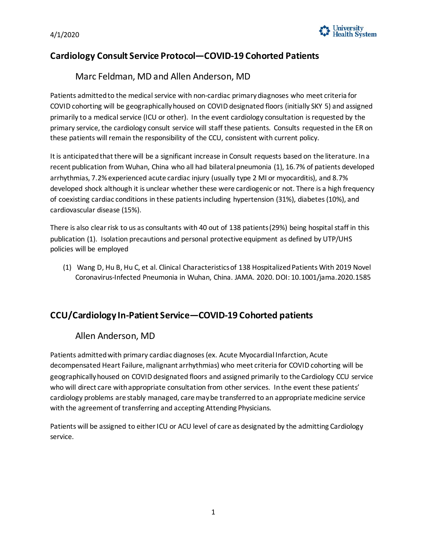

## **Cardiology Consult Service Protocol—COVID-19 Cohorted Patients**

### Marc Feldman, MD and Allen Anderson, MD

 Patients admitted to the medical service with non-cardiac primary diagnoses who meet criteria for COVID cohorting will be geographically housed on COVID designated floors (initially SKY 5) and assigned primarily to a medical service (ICU or other). In the event cardiology consultation is requested by the primary service, the cardiology consult service will staff these patients. Consults requested in the ER on these patients will remain the responsibility of the CCU, consistent with current policy.

 It is anticipated that there will be a significant increase in Consult requests based on the literature. In a recent publication from Wuhan, China who all had bilateral pneumonia (1), 16.7% of patients developed arrhythmias, 7.2% experienced acute cardiac injury (usually type 2 MI or myocarditis), and 8.7% of coexisting cardiac conditions in these patients including hypertension (31%), diabetes (10%), and developed shock although it is unclear whether these were cardiogenic or not. There is a high frequency cardiovascular disease (15%).

 There is also clear risk to us as consultants with 40 out of 138 patients (29%) being hospital staff in this publication (1). Isolation precautions and personal protective equipment as defined by UTP/UHS policies will be employed

 (1) Wang D, Hu B, Hu C, et al. Clinical Characteristics of 138 Hospitalized Patients With 2019 Novel Coronavirus-Infected Pneumonia in Wuhan, China. JAMA. 2020. DOI: 10.1001/jama.2020.1585

## **CCU/Cardiology In-Patient Service—COVID-19 Cohorted patients**

## Allen Anderson, MD

 Patients admitted with primary cardiac diagnoses (ex. Acute Myocardial Infarction, Acute decompensated Heart Failure, malignant arrhythmias) who meet criteria for COVID cohorting will be geographically housed on COVID designated floors and assigned primarily to the Cardiology CCU service who will direct care with appropriate consultation from other services. In the event these patients' cardiology problems are stably managed, care may be transferred to an appropriate medicine service with the agreement of transferring and accepting Attending Physicians.

 Patients will be assigned to either ICU or ACU level of care as designated by the admitting Cardiology service.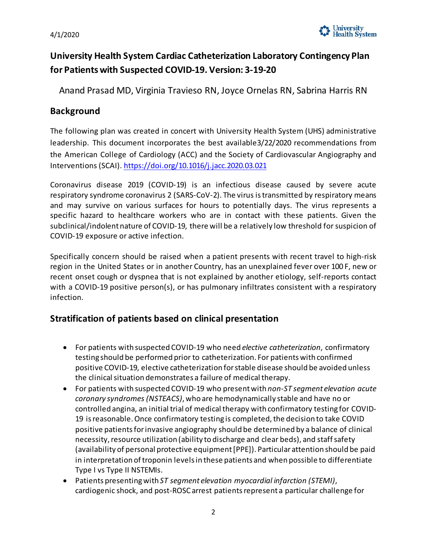

## **University Health System Cardiac Catheterization Laboratory Contingency Plan for Patients with Suspected COVID-19. Version: 3-19-20**

Anand Prasad MD, Virginia Travieso RN, Joyce Ornelas RN, Sabrina Harris RN

## **Background**

 The following plan was created in concert with University Health System (UHS) administrative leadership. This document incorporates the best available3/22/2020 recommendations from the American College of Cardiology (ACC) and the Society of Cardiovascular Angiography and Interventions (SCAI)[. https://doi.org/10.1016/j.jacc.2020.03.021](https://doi.org/10.1016/j.jacc.2020.03.021) 

 respiratory syndrome coronavirus 2 (SARS-CoV-2). The virus is transmitted by respiratory means specific hazard to healthcare workers who are in contact with these patients. Given the subclinical/indolent nature of COVID-19, there will be a relatively low threshold for suspicion of Coronavirus disease 2019 (COVID-19) is an infectious disease caused by severe acute and may survive on various surfaces for hours to potentially days. The virus represents a COVID-19 exposure or active infection.

 region in the United States or in another Country, has an unexplained fever over 100 F, new or Specifically concern should be raised when a patient presents with recent travel to high-risk recent onset cough or dyspnea that is not explained by another etiology, self-reports contact with a COVID-19 positive person(s), or has pulmonary infiltrates consistent with a respiratory infection.

## **Stratification of patients based on clinical presentation**

- • For patients with suspected COVID-19 who need *elective catheterization*, confirmatory testing should be performed prior to catheterization. For patients with confirmed the clinical situation demonstrates a failure of medical therapy. positive COVID-19, elective catheterization for stable disease should be avoided unless
- • For patients with suspected COVID-19 who present with *non-ST segment elevation acute coronary syndromes (NSTEACS)*, who are hemodynamically stable and have no or controlled angina, an initial trial of medical therapy with confirmatory testing for COVID- 19 is reasonable. Once confirmatory testing is completed, the decision to take COVID positive patients for invasive angiography should be determined by a balance of clinical necessity, resource utilization (ability to discharge and clear beds), and staff safety (availability of personal protective equipment [PPE]). Particular attention should be paid in interpretation of troponin levels in these patients and when possible to differentiate Type I vs Type II NSTEMIs.
- cardiogenic shock, and post-ROSC arrest patients represent a particular challenge for • Patients presenting with *ST segment elevation myocardial infarction (STEMI)*,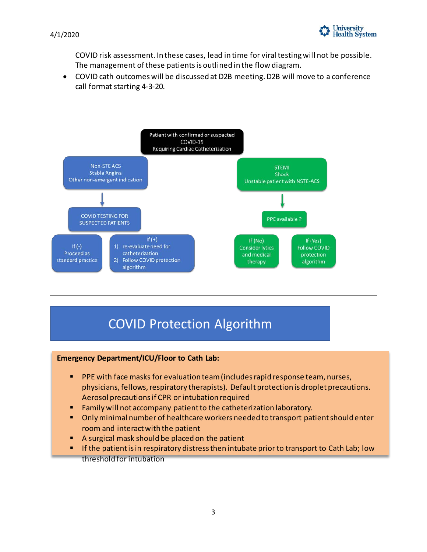

 4/1/2020 COVID risk assessment. In these cases, lead in time for viral testing will not be possible. The management of these patients is outlined in the flow diagram.

 • COVID cath outcomes will be discussed at D2B meeting. D2B will move to a conference call format starting 4-3-20.



# **COVID Protection Algorithm**

#### **Emergency Department/ICU/Floor to Cath Lab:**

- **PPE** with face masks for evaluation team (includes rapid response team, nurses, physicians, fellows, respiratory therapists). Default protection is droplet precautions. Aerosol precautions if CPR or intubation required
- **Family will not accompany patient to the catheterization laboratory.**
- Only minimal number of healthcare workers needed to transport patient should enter room and interact with the patient
- A surgical mask should be placed on the patient
- **If the patient is in respiratory distress then intubate prior to transport to Cath Lab; low** threshold for intubation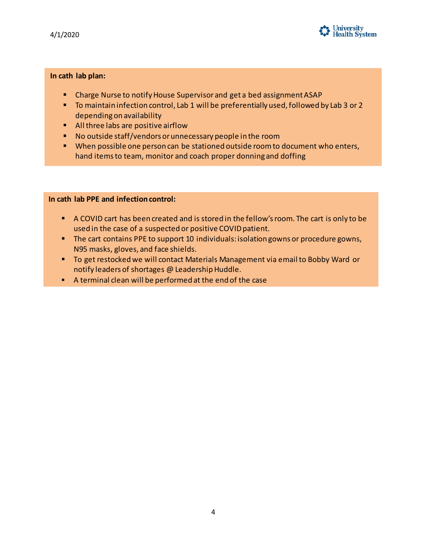

#### **In cath lab plan:**

- **E** Charge Nurse to notify House Supervisor and get a bed assignment ASAP
- **To maintain infection control, Lab 1 will be preferentially used, followed by Lab 3 or 2** depending on availability
- **All three labs are positive airflow**
- No outside staff/vendors or unnecessary people in the room
- **When possible one person can be stationed outside room to document who enters,** hand items to team, monitor and coach proper donning and doffing

#### **In cath lab PPE and infection control:**

- A COVID cart has been created and is stored in the fellow's room. The cart is only to be used in the case of a suspected or positive COVID patient.
- The cart contains PPE to support 10 individuals: isolation gowns or procedure gowns, N95 masks, gloves, and face shields.
- **To get restocked we will contact Materials Management via email to Bobby Ward or** notify leaders of shortages @ Leadership Huddle.
- A terminal clean will be performed at the end of the case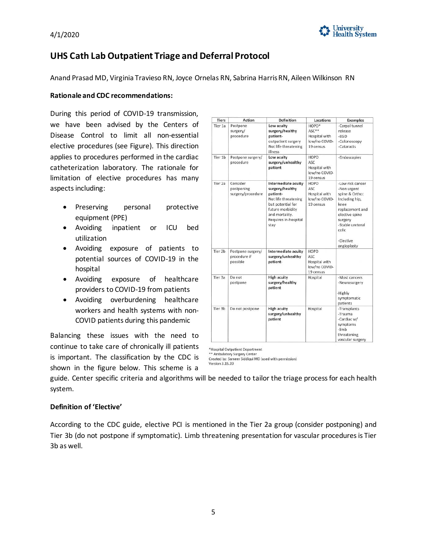



## **UHS Cath Lab Outpatient Triage and Deferral Protocol**

Anand Prasad MD, Virginia Travieso RN, Joyce Ornelas RN, Sabrina Harris RN, Aileen Wilkinson RN

#### **Rationale and CDC recommendations:**

 During this period of COVID-19 transmission, we have been advised by the Centers of applies to procedures performed in the cardiac Disease Control to limit all non-essential elective procedures (see Figure). This direction catheterization laboratory. The rationale for limitation of elective procedures has many aspects including:

- Preserving personal protective equipment (PPE)
- Avoiding inpatient or ICU bed utilization
- Avoiding exposure of patients to potential sources of COVID-19 in the hospital
- exposure of • Avoiding exposure of healthcare providers to COVID-19 from patients
- Avoiding overburdening healthcare workers and health systems with non-COVID patients during this pandemic

 Balancing these issues with the need to is important. The classification by the CDC is shown in the figure below. This scheme is a continue to take care of chronically ill patients

| <b>Tiers</b>       | Action                                        | Definition                                                                                                                                                            | Locations                                                                   | <b>Examples</b>                                                                                                                                                                      |
|--------------------|-----------------------------------------------|-----------------------------------------------------------------------------------------------------------------------------------------------------------------------|-----------------------------------------------------------------------------|--------------------------------------------------------------------------------------------------------------------------------------------------------------------------------------|
| Tier 1a            | Postpone<br>surgery/<br>procedure             | Low acuity<br>surgery/healthy<br>patient-<br>outpatient surgery<br>Not life threatening<br>illness                                                                    | HOPD <sup>*</sup><br>$ASC**$<br>Hospital with<br>low/no COVID-<br>19 census | -Carpal tunnel<br>release<br>$-EGD$<br>-Colonoscopy<br>-Cataracts                                                                                                                    |
| Tier 1b            | Postpone surgery/<br>procedure                | Low acuity<br>surgery/unhealthy<br>patient                                                                                                                            | <b>HOPD</b><br>ASC<br>Hospital with<br>low/no COVID-<br>19 census           | -Endoscopies                                                                                                                                                                         |
| Tier 2a            | Consider<br>postponing<br>surgery/procedure   | Intermediate acuity<br>surgery/healthy<br>patient-<br>Not life threatening<br>but potential for<br>future morbidity<br>and mortality.<br>Requires in-hospital<br>stay | <b>HOPD</b><br>ASC<br>Hospital with<br>low/no COVID-<br>19 census           | -Low risk cancer<br>-Non urgent<br>spine & Ortho:<br>Including hip,<br>knee<br>replacement and<br>elective spine<br>surgery<br>-Stable ureteral<br>colic<br>-Elective<br>angioplasty |
| Tier 2b            | Postpone surgery/<br>procedure if<br>possible | Intermediate acuity<br>surgery/unhealthy<br>patient-                                                                                                                  | HOPD<br>ASC<br>Hospital with<br>low/no COVID-<br>19 census                  |                                                                                                                                                                                      |
| Tier <sub>3a</sub> | Do not<br>postpone                            | <b>High acuity</b><br>surgery/healthy<br>patient                                                                                                                      | Hospital                                                                    | -Most cancers<br>-Neurosurgery<br>-Highly<br>symptomatic<br>patients                                                                                                                 |
| Tier 3b            | Do not postpone                               | <b>High acuity</b><br>surgery/unhealthy<br>patient                                                                                                                    | Hospital                                                                    | -Transplants<br>-Trauma<br>-Cardiac w/<br>symptoms<br>-limb<br>threatening<br>vascular surgery                                                                                       |

\*Hospital Outpatient Department

\*\* Ambulatory Surgery Center

Created by: Sameer Siddiqui MD (used with permission) Version 3 .15.20

 guide. Center specific criteria and algorithms will be needed to tailor the triage process for each health system.

#### **Definition of 'Elective'**

 According to the CDC guide, elective PCI is mentioned in the Tier 2a group (consider postponing) and Tier 3b (do not postpone if symptomatic). Limb threatening presentation for vascular procedures is Tier 3b as well.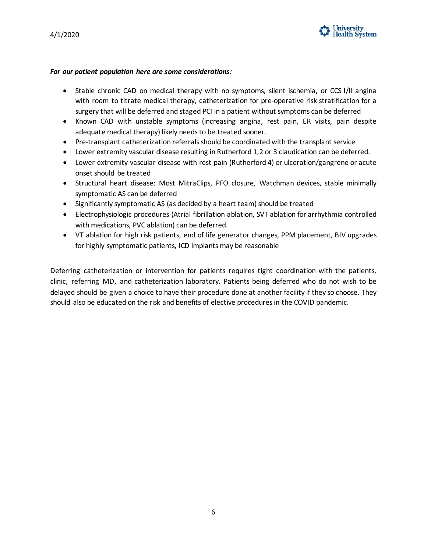

#### *For our patient population here are some considerations:*

- • Stable chronic CAD on medical therapy with no symptoms, silent ischemia, or CCS I/II angina with room to titrate medical therapy, catheterization for pre-operative risk stratification for a surgery that will be deferred and staged PCI in a patient without symptoms can be deferred
- Known CAD with unstable symptoms (increasing angina, rest pain, ER visits, pain despite adequate medical therapy) likely needs to be treated sooner.
- Pre-transplant catheterization referrals should be coordinated with the transplant service
- Lower extremity vascular disease resulting in Rutherford 1,2 or 3 claudication can be deferred.
- • Lower extremity vascular disease with rest pain (Rutherford 4) or ulceration/gangrene or acute onset should be treated
- • Structural heart disease: Most MitraClips, PFO closure, Watchman devices, stable minimally symptomatic AS can be deferred
- Significantly symptomatic AS (as decided by a heart team) should be treated
- • Electrophysiologic procedures (Atrial fibrillation ablation, SVT ablation for arrhythmia controlled with medications, PVC ablation) can be deferred.
- VT ablation for high risk patients, end of life generator changes, PPM placement, BIV upgrades for highly symptomatic patients, ICD implants may be reasonable

 Deferring catheterization or intervention for patients requires tight coordination with the patients, clinic, referring MD, and catheterization laboratory. Patients being deferred who do not wish to be delayed should be given a choice to have their procedure done at another facility if they so choose. They should also be educated on the risk and benefits of elective procedures in the COVID pandemic.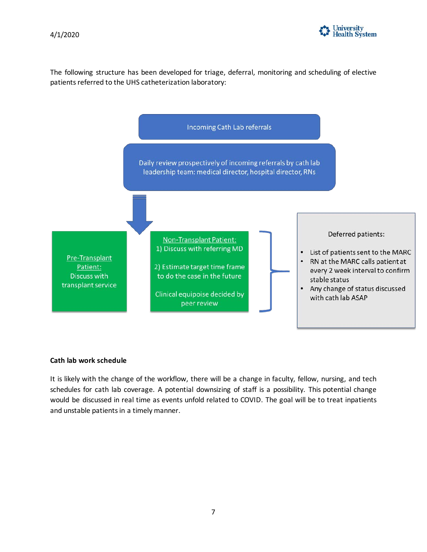

4/1/2020<br>The following structure has been developed for triage, deferral, monitoring and scheduling of elective patients referred to the UHS catheterization laboratory:



#### **Cath lab work schedule**

 schedules for cath lab coverage. A potential downsizing of staff is a possibility. This potential change It is likely with the change of the workflow, there will be a change in faculty, fellow, nursing, and tech would be discussed in real time as events unfold related to COVID. The goal will be to treat inpatients and unstable patients in a timely manner.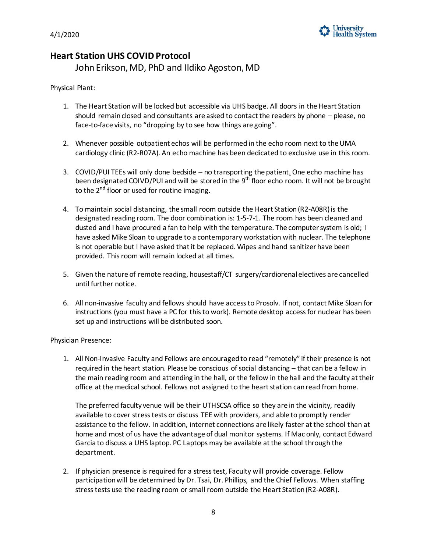

## **Heart Station UHS COVID Protocol**

John Erikson, MD, PhD and Ildiko Agoston, MD

Physical Plant:

- 1. The Heart Station will be locked but accessible via UHS badge. All doors in the Heart Station should remain closed and consultants are asked to contact the readers by phone – please, no face-to-face visits, no "dropping by to see how things are going".
- 2. Whenever possible outpatient echos will be performed in the echo room next to the UMA cardiology clinic (R2-R07A). An echo machine has been dedicated to exclusive use in this room.
- been designated COIVD/PUI and will be stored in the 9<sup>th</sup> floor echo room. It will not be brought to the 2<sup>nd</sup> floor or used for routine imaging. 3. COVID/PUI TEEs will only done bedside – no transporting the patient. One echo machine has
- 4. To maintain social distancing, the small room outside the Heart Station (R2-A08R) is the dusted and I have procured a fan to help with the temperature. The computer system is old; I is not operable but I have asked that it be replaced. Wipes and hand sanitizer have been designated reading room. The door combination is: 1-5-7-1. The room has been cleaned and have asked Mike Sloan to upgrade to a contemporary workstation with nuclear. The telephone provided. This room will remain locked at all times.
- 5. Given the nature of remote reading, housestaff/CT surgery/cardiorenal electives are cancelled until further notice.
- 6. All non-invasive faculty and fellows should have access to Prosolv. If not, contact Mike Sloan for instructions (you must have a PC for this to work). Remote desktop access for nuclear has been set up and instructions will be distributed soon.

Physician Presence:

 1. All Non-Invasive Faculty and Fellows are encouraged to read "remotely" if their presence is not required in the heart station. Please be conscious of social distancing – that can be a fellow in the main reading room and attending in the hall, or the fellow in the hall and the faculty at their office at the medical school. Fellows not assigned to the heart station can read from home.

 The preferred faculty venue will be their UTHSCSA office so they are in the vicinity, readily available to cover stress tests or discuss TEE with providers, and able to promptly render assistance to the fellow. In addition, internet connections are likely faster at the school than at Garcia to discuss a UHS laptop. PC Laptops may be available at the school through the home and most of us have the advantage of dual monitor systems. If Mac only, contact Edward department.

 2. If physician presence is required for a stress test, Faculty will provide coverage. Fellow participation will be determined by Dr. Tsai, Dr. Phillips, and the Chief Fellows. When staffing stress tests use the reading room or small room outside the Heart Station (R2-A08R).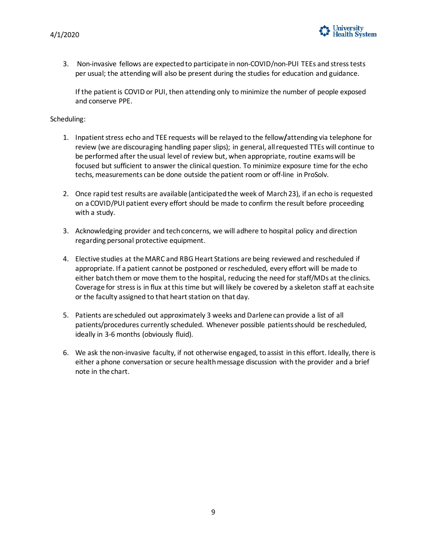

 per usual; the attending will also be present during the studies for education and guidance. 3. Non-invasive fellows are expected to participate in non-COVID/non-PUI TEEs and stress tests

 If the patient is COVID or PUI, then attending only to minimize the number of people exposed and conserve PPE.

#### Scheduling:

- 1. Inpatient stress echo and TEE requests will be relayed to the fellow**/**attending via telephone for review (we are discouraging handling paper slips); in general, all requested TTEs will continue to be performed after the usual level of review but, when appropriate, routine exams will be techs, measurements can be done outside the patient room or off-line in ProSolv. focused but sufficient to answer the clinical question. To minimize exposure time for the echo
- 2. Once rapid test results are available (anticipated the week of March 23), if an echo is requested on a COVID/PUI patient every effort should be made to confirm the result before proceeding with a study.
- 3. Acknowledging provider and tech concerns, we will adhere to hospital policy and direction regarding personal protective equipment.
- 4. Elective studies at the MARC and RBG Heart Stations are being reviewed and rescheduled if appropriate. If a patient cannot be postponed or rescheduled, every effort will be made to either batch them or move them to the hospital, reducing the need for staff/MDs at the clinics. Coverage for stress is in flux at this time but will likely be covered by a skeleton staff at each site or the faculty assigned to that heart station on that day.
- 5. Patients are scheduled out approximately 3 weeks and Darlene can provide a list of all patients/procedures currently scheduled. Whenever possible patients should be rescheduled, ideally in 3-6 months (obviously fluid).
- 6. We ask the non-invasive faculty, if not otherwise engaged, to assist in this effort. Ideally, there is either a phone conversation or secure health message discussion with the provider and a brief note in the chart.